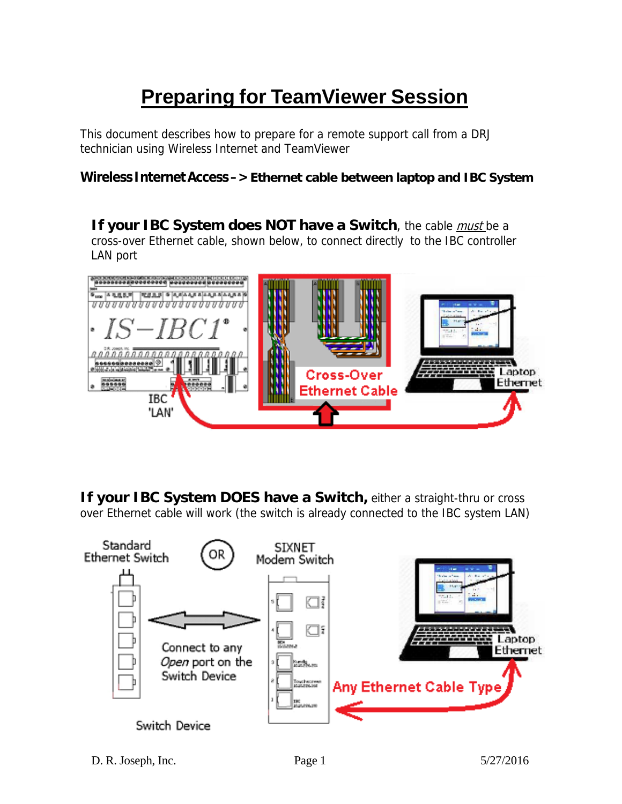## **Preparing for TeamViewer Session**

This document describes how to prepare for a remote support call from a DRJ technician using Wireless Internet and TeamViewer

**Wireless Internet Access –> Ethernet cable between laptop and IBC System**

**If your IBC System does NOT have a Switch**, the cable *must* be a cross-over Ethernet cable, shown below, to connect directly to the IBC controller LAN port



**If your IBC System DOES have a Switch, either a straight-thru or cross** over Ethernet cable will work (the switch is already connected to the IBC system LAN)



D. R. Joseph, Inc. Page 1 5/27/2016